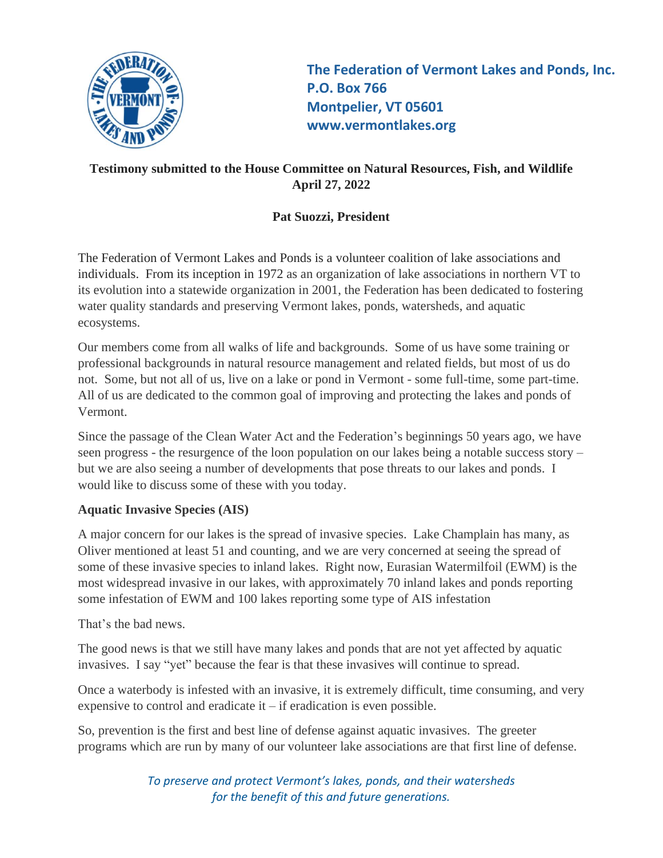

**The Federation of Vermont Lakes and Ponds, Inc. P.O. Box 766 Montpelier, VT 05601 www.vermontlakes.org**

# **Testimony submitted to the House Committee on Natural Resources, Fish, and Wildlife April 27, 2022**

# **Pat Suozzi, President**

The Federation of Vermont Lakes and Ponds is a volunteer coalition of lake associations and individuals. From its inception in 1972 as an organization of lake associations in northern VT to its evolution into a statewide organization in 2001, the Federation has been dedicated to fostering water quality standards and preserving Vermont lakes, ponds, watersheds, and aquatic ecosystems.

Our members come from all walks of life and backgrounds. Some of us have some training or professional backgrounds in natural resource management and related fields, but most of us do not. Some, but not all of us, live on a lake or pond in Vermont - some full-time, some part-time. All of us are dedicated to the common goal of improving and protecting the lakes and ponds of Vermont.

Since the passage of the Clean Water Act and the Federation's beginnings 50 years ago, we have seen progress - the resurgence of the loon population on our lakes being a notable success story – but we are also seeing a number of developments that pose threats to our lakes and ponds. I would like to discuss some of these with you today.

# **Aquatic Invasive Species (AIS)**

A major concern for our lakes is the spread of invasive species. Lake Champlain has many, as Oliver mentioned at least 51 and counting, and we are very concerned at seeing the spread of some of these invasive species to inland lakes. Right now, Eurasian Watermilfoil (EWM) is the most widespread invasive in our lakes, with approximately 70 inland lakes and ponds reporting some infestation of EWM and 100 lakes reporting some type of AIS infestation

That's the bad news.

The good news is that we still have many lakes and ponds that are not yet affected by aquatic invasives. I say "yet" because the fear is that these invasives will continue to spread.

Once a waterbody is infested with an invasive, it is extremely difficult, time consuming, and very expensive to control and eradicate it – if eradication is even possible.

So, prevention is the first and best line of defense against aquatic invasives. The greeter programs which are run by many of our volunteer lake associations are that first line of defense.

> *To preserve and protect Vermont's lakes, ponds, and their watersheds for the benefit of this and future generations.*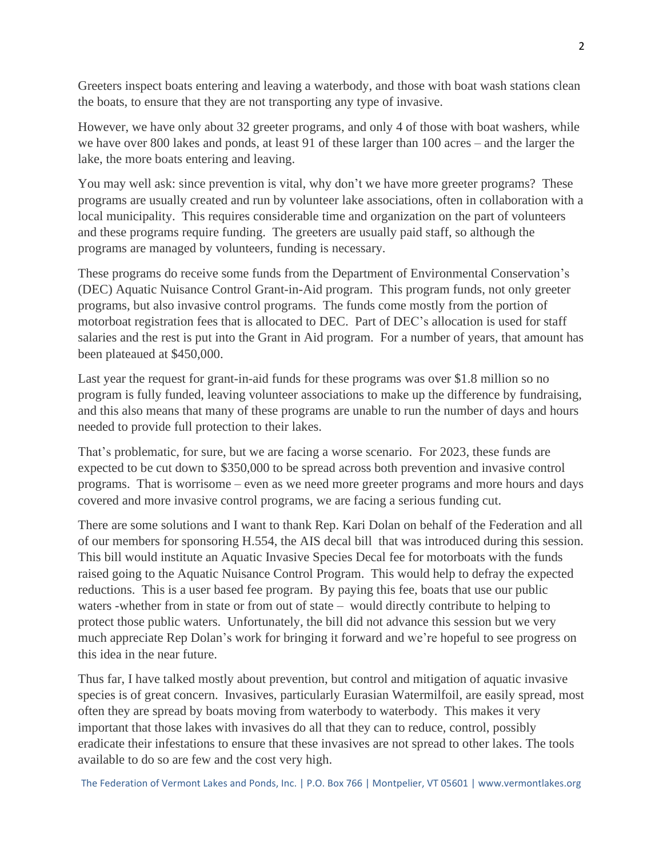Greeters inspect boats entering and leaving a waterbody, and those with boat wash stations clean the boats, to ensure that they are not transporting any type of invasive.

However, we have only about 32 greeter programs, and only 4 of those with boat washers, while we have over 800 lakes and ponds, at least 91 of these larger than 100 acres – and the larger the lake, the more boats entering and leaving.

You may well ask: since prevention is vital, why don't we have more greeter programs? These programs are usually created and run by volunteer lake associations, often in collaboration with a local municipality. This requires considerable time and organization on the part of volunteers and these programs require funding. The greeters are usually paid staff, so although the programs are managed by volunteers, funding is necessary.

These programs do receive some funds from the Department of Environmental Conservation's (DEC) Aquatic Nuisance Control Grant-in-Aid program. This program funds, not only greeter programs, but also invasive control programs. The funds come mostly from the portion of motorboat registration fees that is allocated to DEC. Part of DEC's allocation is used for staff salaries and the rest is put into the Grant in Aid program. For a number of years, that amount has been plateaued at \$450,000.

Last year the request for grant-in-aid funds for these programs was over \$1.8 million so no program is fully funded, leaving volunteer associations to make up the difference by fundraising, and this also means that many of these programs are unable to run the number of days and hours needed to provide full protection to their lakes.

That's problematic, for sure, but we are facing a worse scenario. For 2023, these funds are expected to be cut down to \$350,000 to be spread across both prevention and invasive control programs. That is worrisome – even as we need more greeter programs and more hours and days covered and more invasive control programs, we are facing a serious funding cut.

There are some solutions and I want to thank Rep. Kari Dolan on behalf of the Federation and all of our members for sponsoring H.554, the AIS decal bill that was introduced during this session. This bill would institute an Aquatic Invasive Species Decal fee for motorboats with the funds raised going to the Aquatic Nuisance Control Program. This would help to defray the expected reductions. This is a user based fee program. By paying this fee, boats that use our public waters -whether from in state or from out of state – would directly contribute to helping to protect those public waters. Unfortunately, the bill did not advance this session but we very much appreciate Rep Dolan's work for bringing it forward and we're hopeful to see progress on this idea in the near future.

Thus far, I have talked mostly about prevention, but control and mitigation of aquatic invasive species is of great concern. Invasives, particularly Eurasian Watermilfoil, are easily spread, most often they are spread by boats moving from waterbody to waterbody. This makes it very important that those lakes with invasives do all that they can to reduce, control, possibly eradicate their infestations to ensure that these invasives are not spread to other lakes. The tools available to do so are few and the cost very high.

The Federation of Vermont Lakes and Ponds, Inc. | P.O. Box 766 | Montpelier, VT 05601 | [www.vermontlakes.org](http://www.vermontlakes.org/)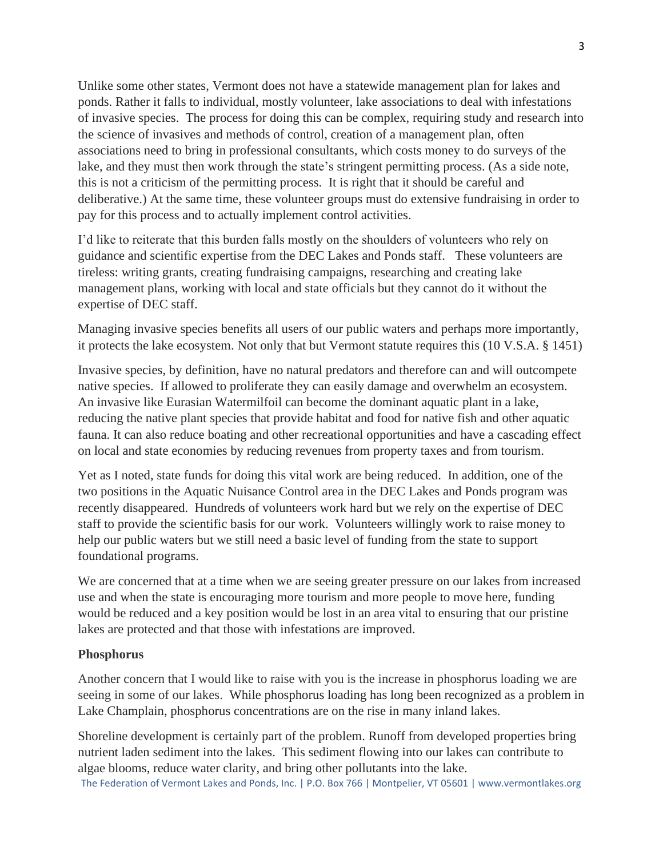Unlike some other states, Vermont does not have a statewide management plan for lakes and ponds. Rather it falls to individual, mostly volunteer, lake associations to deal with infestations of invasive species. The process for doing this can be complex, requiring study and research into the science of invasives and methods of control, creation of a management plan, often associations need to bring in professional consultants, which costs money to do surveys of the lake, and they must then work through the state's stringent permitting process. (As a side note, this is not a criticism of the permitting process. It is right that it should be careful and deliberative.) At the same time, these volunteer groups must do extensive fundraising in order to pay for this process and to actually implement control activities.

I'd like to reiterate that this burden falls mostly on the shoulders of volunteers who rely on guidance and scientific expertise from the DEC Lakes and Ponds staff. These volunteers are tireless: writing grants, creating fundraising campaigns, researching and creating lake management plans, working with local and state officials but they cannot do it without the expertise of DEC staff.

Managing invasive species benefits all users of our public waters and perhaps more importantly, it protects the lake ecosystem. Not only that but Vermont statute requires this (10 V.S.A. § 1451)

Invasive species, by definition, have no natural predators and therefore can and will outcompete native species. If allowed to proliferate they can easily damage and overwhelm an ecosystem. An invasive like Eurasian Watermilfoil can become the dominant aquatic plant in a lake, reducing the native plant species that provide habitat and food for native fish and other aquatic fauna. It can also reduce boating and other recreational opportunities and have a cascading effect on local and state economies by reducing revenues from property taxes and from tourism.

Yet as I noted, state funds for doing this vital work are being reduced. In addition, one of the two positions in the Aquatic Nuisance Control area in the DEC Lakes and Ponds program was recently disappeared. Hundreds of volunteers work hard but we rely on the expertise of DEC staff to provide the scientific basis for our work. Volunteers willingly work to raise money to help our public waters but we still need a basic level of funding from the state to support foundational programs.

We are concerned that at a time when we are seeing greater pressure on our lakes from increased use and when the state is encouraging more tourism and more people to move here, funding would be reduced and a key position would be lost in an area vital to ensuring that our pristine lakes are protected and that those with infestations are improved.

## **Phosphorus**

Another concern that I would like to raise with you is the increase in phosphorus loading we are seeing in some of our lakes. While phosphorus loading has long been recognized as a problem in Lake Champlain, phosphorus concentrations are on the rise in many inland lakes.

The Federation of Vermont Lakes and Ponds, Inc. | P.O. Box 766 | Montpelier, VT 05601 | [www.vermontlakes.org](http://www.vermontlakes.org/) Shoreline development is certainly part of the problem. Runoff from developed properties bring nutrient laden sediment into the lakes. This sediment flowing into our lakes can contribute to algae blooms, reduce water clarity, and bring other pollutants into the lake.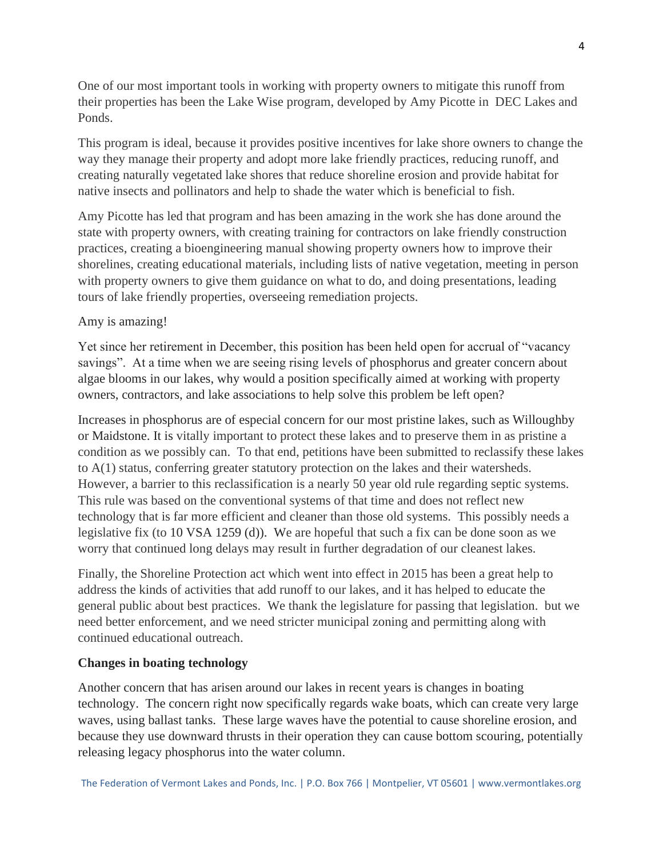One of our most important tools in working with property owners to mitigate this runoff from their properties has been the Lake Wise program, developed by Amy Picotte in DEC Lakes and Ponds.

This program is ideal, because it provides positive incentives for lake shore owners to change the way they manage their property and adopt more lake friendly practices, reducing runoff, and creating naturally vegetated lake shores that reduce shoreline erosion and provide habitat for native insects and pollinators and help to shade the water which is beneficial to fish.

Amy Picotte has led that program and has been amazing in the work she has done around the state with property owners, with creating training for contractors on lake friendly construction practices, creating a bioengineering manual showing property owners how to improve their shorelines, creating educational materials, including lists of native vegetation, meeting in person with property owners to give them guidance on what to do, and doing presentations, leading tours of lake friendly properties, overseeing remediation projects.

## Amy is amazing!

Yet since her retirement in December, this position has been held open for accrual of "vacancy savings". At a time when we are seeing rising levels of phosphorus and greater concern about algae blooms in our lakes, why would a position specifically aimed at working with property owners, contractors, and lake associations to help solve this problem be left open?

Increases in phosphorus are of especial concern for our most pristine lakes, such as Willoughby or Maidstone. It is vitally important to protect these lakes and to preserve them in as pristine a condition as we possibly can. To that end, petitions have been submitted to reclassify these lakes to A(1) status, conferring greater statutory protection on the lakes and their watersheds. However, a barrier to this reclassification is a nearly 50 year old rule regarding septic systems. This rule was based on the conventional systems of that time and does not reflect new technology that is far more efficient and cleaner than those old systems. This possibly needs a legislative fix (to 10 VSA 1259 (d)). We are hopeful that such a fix can be done soon as we worry that continued long delays may result in further degradation of our cleanest lakes.

Finally, the Shoreline Protection act which went into effect in 2015 has been a great help to address the kinds of activities that add runoff to our lakes, and it has helped to educate the general public about best practices. We thank the legislature for passing that legislation. but we need better enforcement, and we need stricter municipal zoning and permitting along with continued educational outreach.

## **Changes in boating technology**

Another concern that has arisen around our lakes in recent years is changes in boating technology. The concern right now specifically regards wake boats, which can create very large waves, using ballast tanks. These large waves have the potential to cause shoreline erosion, and because they use downward thrusts in their operation they can cause bottom scouring, potentially releasing legacy phosphorus into the water column.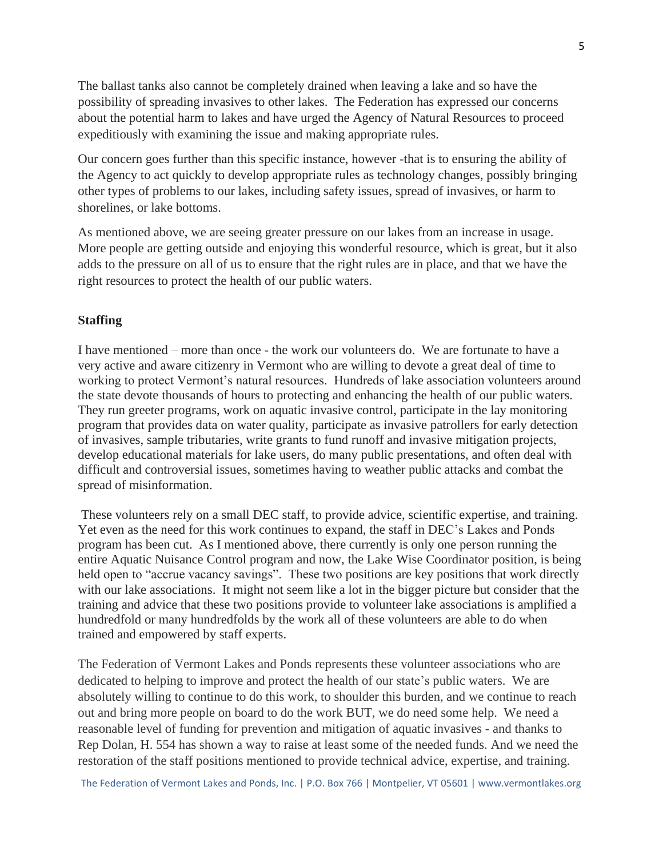The ballast tanks also cannot be completely drained when leaving a lake and so have the possibility of spreading invasives to other lakes. The Federation has expressed our concerns about the potential harm to lakes and have urged the Agency of Natural Resources to proceed expeditiously with examining the issue and making appropriate rules.

Our concern goes further than this specific instance, however -that is to ensuring the ability of the Agency to act quickly to develop appropriate rules as technology changes, possibly bringing other types of problems to our lakes, including safety issues, spread of invasives, or harm to shorelines, or lake bottoms.

As mentioned above, we are seeing greater pressure on our lakes from an increase in usage. More people are getting outside and enjoying this wonderful resource, which is great, but it also adds to the pressure on all of us to ensure that the right rules are in place, and that we have the right resources to protect the health of our public waters.

## **Staffing**

I have mentioned – more than once - the work our volunteers do. We are fortunate to have a very active and aware citizenry in Vermont who are willing to devote a great deal of time to working to protect Vermont's natural resources. Hundreds of lake association volunteers around the state devote thousands of hours to protecting and enhancing the health of our public waters. They run greeter programs, work on aquatic invasive control, participate in the lay monitoring program that provides data on water quality, participate as invasive patrollers for early detection of invasives, sample tributaries, write grants to fund runoff and invasive mitigation projects, develop educational materials for lake users, do many public presentations, and often deal with difficult and controversial issues, sometimes having to weather public attacks and combat the spread of misinformation.

These volunteers rely on a small DEC staff, to provide advice, scientific expertise, and training. Yet even as the need for this work continues to expand, the staff in DEC's Lakes and Ponds program has been cut. As I mentioned above, there currently is only one person running the entire Aquatic Nuisance Control program and now, the Lake Wise Coordinator position, is being held open to "accrue vacancy savings". These two positions are key positions that work directly with our lake associations. It might not seem like a lot in the bigger picture but consider that the training and advice that these two positions provide to volunteer lake associations is amplified a hundredfold or many hundredfolds by the work all of these volunteers are able to do when trained and empowered by staff experts.

The Federation of Vermont Lakes and Ponds represents these volunteer associations who are dedicated to helping to improve and protect the health of our state's public waters. We are absolutely willing to continue to do this work, to shoulder this burden, and we continue to reach out and bring more people on board to do the work BUT, we do need some help. We need a reasonable level of funding for prevention and mitigation of aquatic invasives - and thanks to Rep Dolan, H. 554 has shown a way to raise at least some of the needed funds. And we need the restoration of the staff positions mentioned to provide technical advice, expertise, and training.

The Federation of Vermont Lakes and Ponds, Inc. | P.O. Box 766 | Montpelier, VT 05601 | [www.vermontlakes.org](http://www.vermontlakes.org/)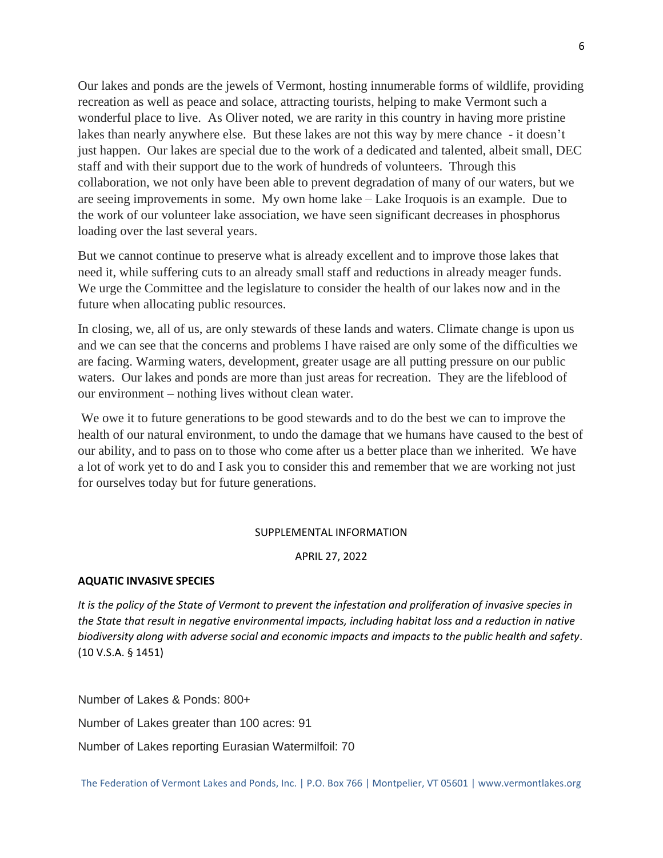Our lakes and ponds are the jewels of Vermont, hosting innumerable forms of wildlife, providing recreation as well as peace and solace, attracting tourists, helping to make Vermont such a wonderful place to live. As Oliver noted, we are rarity in this country in having more pristine lakes than nearly anywhere else. But these lakes are not this way by mere chance - it doesn't just happen. Our lakes are special due to the work of a dedicated and talented, albeit small, DEC staff and with their support due to the work of hundreds of volunteers. Through this collaboration, we not only have been able to prevent degradation of many of our waters, but we are seeing improvements in some. My own home lake – Lake Iroquois is an example. Due to the work of our volunteer lake association, we have seen significant decreases in phosphorus loading over the last several years.

But we cannot continue to preserve what is already excellent and to improve those lakes that need it, while suffering cuts to an already small staff and reductions in already meager funds. We urge the Committee and the legislature to consider the health of our lakes now and in the future when allocating public resources.

In closing, we, all of us, are only stewards of these lands and waters. Climate change is upon us and we can see that the concerns and problems I have raised are only some of the difficulties we are facing. Warming waters, development, greater usage are all putting pressure on our public waters. Our lakes and ponds are more than just areas for recreation. They are the lifeblood of our environment – nothing lives without clean water.

We owe it to future generations to be good stewards and to do the best we can to improve the health of our natural environment, to undo the damage that we humans have caused to the best of our ability, and to pass on to those who come after us a better place than we inherited. We have a lot of work yet to do and I ask you to consider this and remember that we are working not just for ourselves today but for future generations.

#### SUPPLEMENTAL INFORMATION

#### APRIL 27, 2022

#### **AQUATIC INVASIVE SPECIES**

*It is the policy of the State of Vermont to prevent the infestation and proliferation of invasive species in the State that result in negative environmental impacts, including habitat loss and a reduction in native biodiversity along with adverse social and economic impacts and impacts to the public health and safety*. (10 V.S.A. § 1451)

Number of Lakes & Ponds: 800+

Number of Lakes greater than 100 acres: 91

Number of Lakes reporting Eurasian Watermilfoil: 70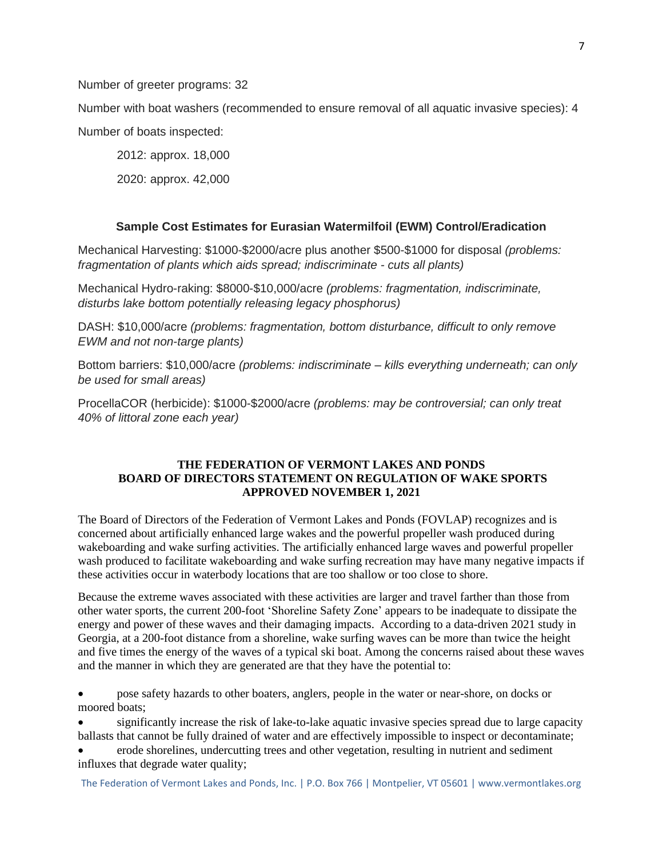Number of greeter programs: 32

Number with boat washers (recommended to ensure removal of all aquatic invasive species): 4 Number of boats inspected:

2012: approx. 18,000

2020: approx. 42,000

## **Sample Cost Estimates for Eurasian Watermilfoil (EWM) Control/Eradication**

Mechanical Harvesting: \$1000-\$2000/acre plus another \$500-\$1000 for disposal *(problems: fragmentation of plants which aids spread; indiscriminate - cuts all plants)*

Mechanical Hydro-raking: \$8000-\$10,000/acre *(problems: fragmentation, indiscriminate, disturbs lake bottom potentially releasing legacy phosphorus)*

DASH: \$10,000/acre *(problems: fragmentation, bottom disturbance, difficult to only remove EWM and not non-targe plants)*

Bottom barriers: \$10,000/acre *(problems: indiscriminate – kills everything underneath; can only be used for small areas)*

ProcellaCOR (herbicide): \$1000-\$2000/acre *(problems: may be controversial; can only treat 40% of littoral zone each year)*

## **THE FEDERATION OF VERMONT LAKES AND PONDS BOARD OF DIRECTORS STATEMENT ON REGULATION OF WAKE SPORTS APPROVED NOVEMBER 1, 2021**

The Board of Directors of the Federation of Vermont Lakes and Ponds (FOVLAP) recognizes and is concerned about artificially enhanced large wakes and the powerful propeller wash produced during wakeboarding and wake surfing activities. The artificially enhanced large waves and powerful propeller wash produced to facilitate wakeboarding and wake surfing recreation may have many negative impacts if these activities occur in waterbody locations that are too shallow or too close to shore.

Because the extreme waves associated with these activities are larger and travel farther than those from other water sports, the current 200-foot 'Shoreline Safety Zone' appears to be inadequate to dissipate the energy and power of these waves and their damaging impacts. According to a data-driven 2021 study in Georgia, at a 200-foot distance from a shoreline, wake surfing waves can be more than twice the height and five times the energy of the waves of a typical ski boat. Among the concerns raised about these waves and the manner in which they are generated are that they have the potential to:

• pose safety hazards to other boaters, anglers, people in the water or near-shore, on docks or moored boats:

• significantly increase the risk of lake-to-lake aquatic invasive species spread due to large capacity ballasts that cannot be fully drained of water and are effectively impossible to inspect or decontaminate;

• erode shorelines, undercutting trees and other vegetation, resulting in nutrient and sediment influxes that degrade water quality;

The Federation of Vermont Lakes and Ponds, Inc. | P.O. Box 766 | Montpelier, VT 05601 | [www.vermontlakes.org](http://www.vermontlakes.org/)